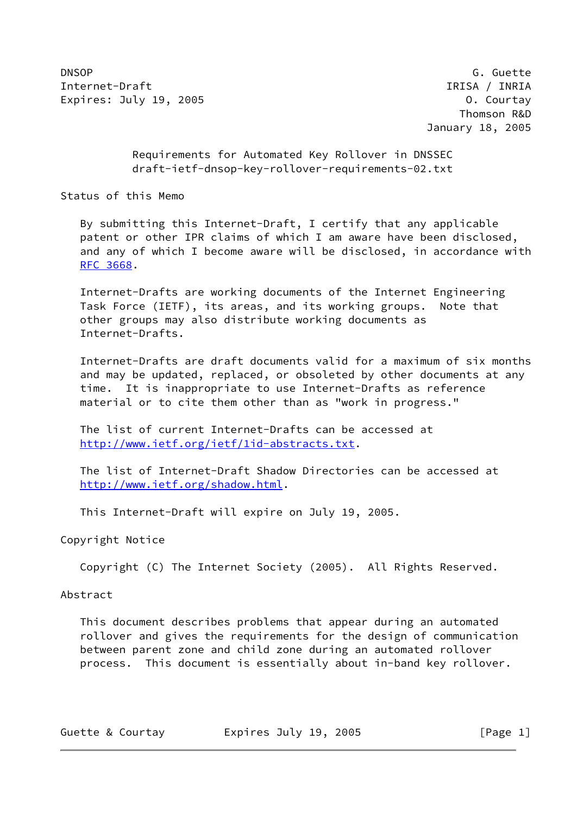DNSOP G. Guette Internet-Draft IRISA / INRIA Expires: July 19, 2005 **Canadian Courtage Courtage Courtay** 0. Courtay

 Thomson R&D January 18, 2005

 Requirements for Automated Key Rollover in DNSSEC draft-ietf-dnsop-key-rollover-requirements-02.txt

Status of this Memo

 By submitting this Internet-Draft, I certify that any applicable patent or other IPR claims of which I am aware have been disclosed, and any of which I become aware will be disclosed, in accordance with [RFC 3668](https://datatracker.ietf.org/doc/pdf/rfc3668).

 Internet-Drafts are working documents of the Internet Engineering Task Force (IETF), its areas, and its working groups. Note that other groups may also distribute working documents as Internet-Drafts.

 Internet-Drafts are draft documents valid for a maximum of six months and may be updated, replaced, or obsoleted by other documents at any time. It is inappropriate to use Internet-Drafts as reference material or to cite them other than as "work in progress."

 The list of current Internet-Drafts can be accessed at <http://www.ietf.org/ietf/1id-abstracts.txt>.

 The list of Internet-Draft Shadow Directories can be accessed at <http://www.ietf.org/shadow.html>.

This Internet-Draft will expire on July 19, 2005.

Copyright Notice

Copyright (C) The Internet Society (2005). All Rights Reserved.

## Abstract

 This document describes problems that appear during an automated rollover and gives the requirements for the design of communication between parent zone and child zone during an automated rollover process. This document is essentially about in-band key rollover.

| Guette & Courtay | Expires July 19, 2005 | [Page 1] |
|------------------|-----------------------|----------|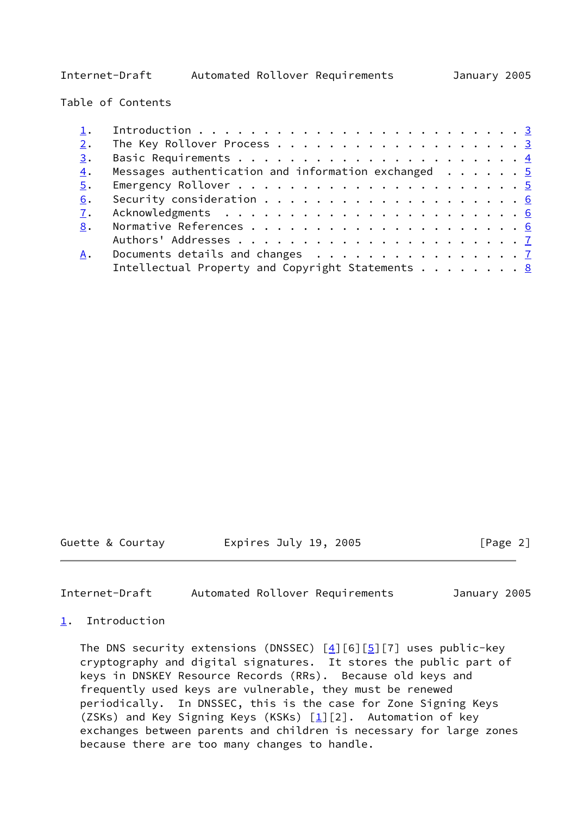Internet-Draft Automated Rollover Requirements January 2005

Table of Contents

| 2. |                                                                     |  |
|----|---------------------------------------------------------------------|--|
| 3. |                                                                     |  |
| 4. | Messages authentication and information exchanged $\ldots \ldots$   |  |
| 5. |                                                                     |  |
| 6. |                                                                     |  |
| 7. |                                                                     |  |
| 8. |                                                                     |  |
|    |                                                                     |  |
| A. | Documents details and changes $\dots \dots \dots \dots \dots \dots$ |  |
|    | Intellectual Property and Copyright Statements $\ldots$ 8           |  |

Guette & Courtay **Expires July 19, 2005** [Page 2]

<span id="page-1-1"></span>Internet-Draft Automated Rollover Requirements January 2005

## <span id="page-1-0"></span>[1](#page-1-0). Introduction

The DNS security extensions (DNSSEC)  $[4][6][5][7]$  $[4][6][5][7]$  $[4][6][5][7]$  $[4][6][5][7]$  uses public-key cryptography and digital signatures. It stores the public part of keys in DNSKEY Resource Records (RRs). Because old keys and frequently used keys are vulnerable, they must be renewed periodically. In DNSSEC, this is the case for Zone Signing Keys (ZSKs) and Key Signing Keys (KSKs)  $[\underline{1}][2]$ . Automation of key exchanges between parents and children is necessary for large zones because there are too many changes to handle.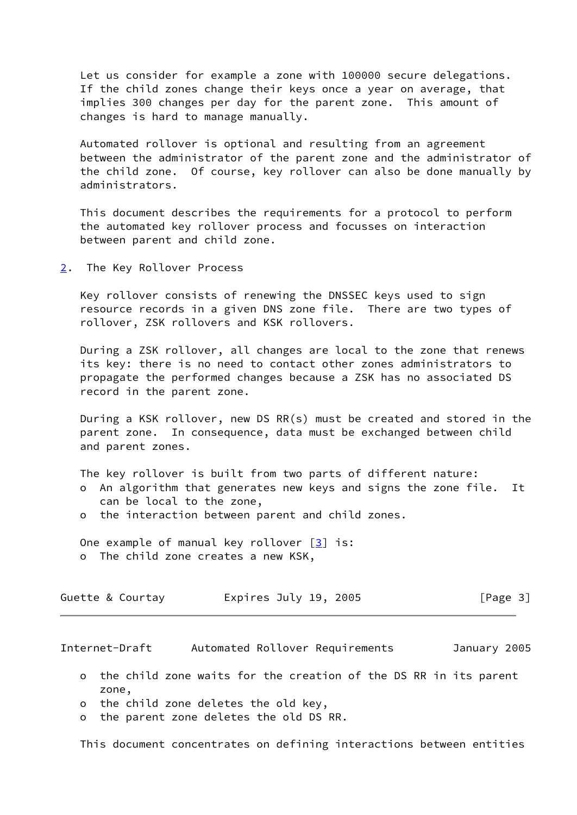Let us consider for example a zone with 100000 secure delegations. If the child zones change their keys once a year on average, that implies 300 changes per day for the parent zone. This amount of changes is hard to manage manually.

 Automated rollover is optional and resulting from an agreement between the administrator of the parent zone and the administrator of the child zone. Of course, key rollover can also be done manually by administrators.

 This document describes the requirements for a protocol to perform the automated key rollover process and focusses on interaction between parent and child zone.

<span id="page-2-0"></span>[2](#page-2-0). The Key Rollover Process

 Key rollover consists of renewing the DNSSEC keys used to sign resource records in a given DNS zone file. There are two types of rollover, ZSK rollovers and KSK rollovers.

 During a ZSK rollover, all changes are local to the zone that renews its key: there is no need to contact other zones administrators to propagate the performed changes because a ZSK has no associated DS record in the parent zone.

 During a KSK rollover, new DS RR(s) must be created and stored in the parent zone. In consequence, data must be exchanged between child and parent zones.

- The key rollover is built from two parts of different nature: o An algorithm that generates new keys and signs the zone file. It can be local to the zone,
- o the interaction between parent and child zones.

 One example of manual key rollover [[3\]](#page-5-7) is: o The child zone creates a new KSK,

| Guette & Courtay | Expires July 19, 2005 | [Page 3] |
|------------------|-----------------------|----------|
|------------------|-----------------------|----------|

<span id="page-2-1"></span>Internet-Draft Automated Rollover Requirements January 2005

- o the child zone waits for the creation of the DS RR in its parent zone,
- o the child zone deletes the old key,
- o the parent zone deletes the old DS RR.

This document concentrates on defining interactions between entities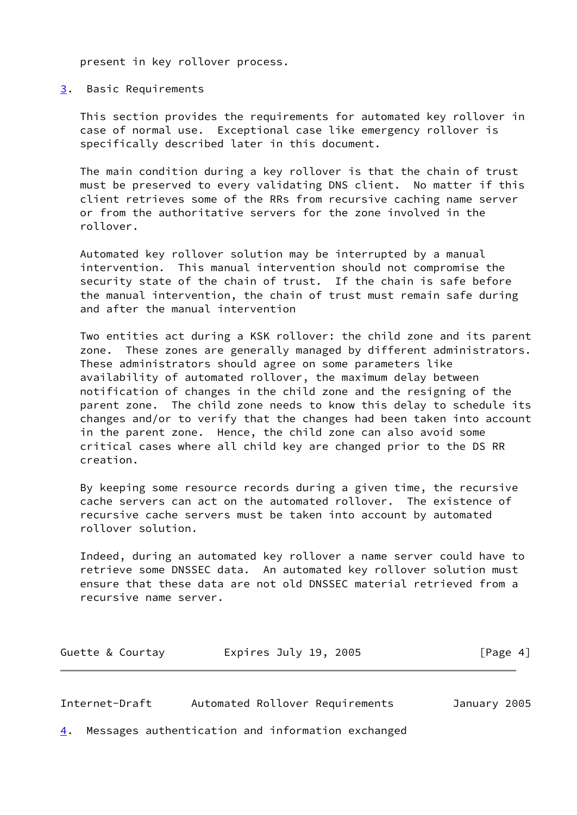present in key rollover process.

## <span id="page-3-0"></span>[3](#page-3-0). Basic Requirements

 This section provides the requirements for automated key rollover in case of normal use. Exceptional case like emergency rollover is specifically described later in this document.

 The main condition during a key rollover is that the chain of trust must be preserved to every validating DNS client. No matter if this client retrieves some of the RRs from recursive caching name server or from the authoritative servers for the zone involved in the rollover.

 Automated key rollover solution may be interrupted by a manual intervention. This manual intervention should not compromise the security state of the chain of trust. If the chain is safe before the manual intervention, the chain of trust must remain safe during and after the manual intervention

 Two entities act during a KSK rollover: the child zone and its parent zone. These zones are generally managed by different administrators. These administrators should agree on some parameters like availability of automated rollover, the maximum delay between notification of changes in the child zone and the resigning of the parent zone. The child zone needs to know this delay to schedule its changes and/or to verify that the changes had been taken into account in the parent zone. Hence, the child zone can also avoid some critical cases where all child key are changed prior to the DS RR creation.

 By keeping some resource records during a given time, the recursive cache servers can act on the automated rollover. The existence of recursive cache servers must be taken into account by automated rollover solution.

 Indeed, during an automated key rollover a name server could have to retrieve some DNSSEC data. An automated key rollover solution must ensure that these data are not old DNSSEC material retrieved from a recursive name server.

| Guette & Courtay | Expires July 19, 2005 | [Page 4] |
|------------------|-----------------------|----------|
|------------------|-----------------------|----------|

<span id="page-3-2"></span>Internet-Draft Automated Rollover Requirements January 2005

<span id="page-3-1"></span>[4](#page-3-1). Messages authentication and information exchanged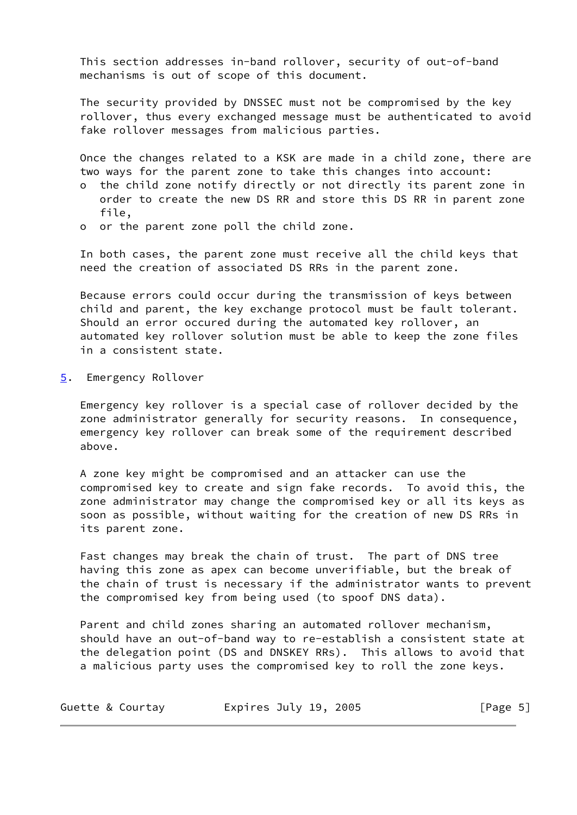This section addresses in-band rollover, security of out-of-band mechanisms is out of scope of this document.

 The security provided by DNSSEC must not be compromised by the key rollover, thus every exchanged message must be authenticated to avoid fake rollover messages from malicious parties.

 Once the changes related to a KSK are made in a child zone, there are two ways for the parent zone to take this changes into account:

- o the child zone notify directly or not directly its parent zone in order to create the new DS RR and store this DS RR in parent zone file,
- o or the parent zone poll the child zone.

 In both cases, the parent zone must receive all the child keys that need the creation of associated DS RRs in the parent zone.

 Because errors could occur during the transmission of keys between child and parent, the key exchange protocol must be fault tolerant. Should an error occured during the automated key rollover, an automated key rollover solution must be able to keep the zone files in a consistent state.

<span id="page-4-0"></span>[5](#page-4-0). Emergency Rollover

 Emergency key rollover is a special case of rollover decided by the zone administrator generally for security reasons. In consequence, emergency key rollover can break some of the requirement described above.

 A zone key might be compromised and an attacker can use the compromised key to create and sign fake records. To avoid this, the zone administrator may change the compromised key or all its keys as soon as possible, without waiting for the creation of new DS RRs in its parent zone.

 Fast changes may break the chain of trust. The part of DNS tree having this zone as apex can become unverifiable, but the break of the chain of trust is necessary if the administrator wants to prevent the compromised key from being used (to spoof DNS data).

 Parent and child zones sharing an automated rollover mechanism, should have an out-of-band way to re-establish a consistent state at the delegation point (DS and DNSKEY RRs). This allows to avoid that a malicious party uses the compromised key to roll the zone keys.

| [Page 5]<br>Expires July 19, 2005<br>Guette & Courtay |  |  |  |  |  |
|-------------------------------------------------------|--|--|--|--|--|
|-------------------------------------------------------|--|--|--|--|--|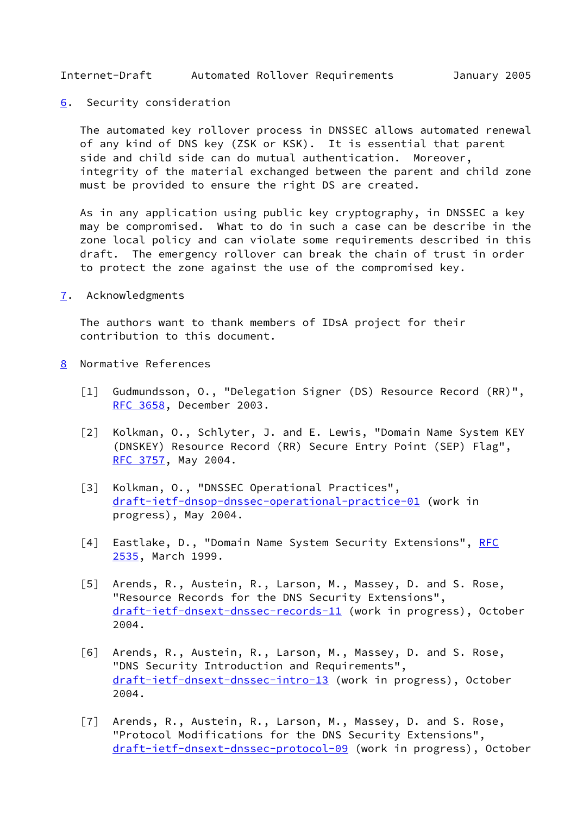<span id="page-5-1"></span>Internet-Draft Automated Rollover Requirements January 2005

<span id="page-5-0"></span>[6](#page-5-0). Security consideration

 The automated key rollover process in DNSSEC allows automated renewal of any kind of DNS key (ZSK or KSK). It is essential that parent side and child side can do mutual authentication. Moreover, integrity of the material exchanged between the parent and child zone must be provided to ensure the right DS are created.

 As in any application using public key cryptography, in DNSSEC a key may be compromised. What to do in such a case can be describe in the zone local policy and can violate some requirements described in this draft. The emergency rollover can break the chain of trust in order to protect the zone against the use of the compromised key.

<span id="page-5-2"></span>[7](#page-5-2). Acknowledgments

 The authors want to thank members of IDsA project for their contribution to this document.

- <span id="page-5-7"></span><span id="page-5-6"></span><span id="page-5-5"></span><span id="page-5-4"></span><span id="page-5-3"></span>[8](#page-5-3) Normative References
	- [1] Gudmundsson, O., "Delegation Signer (DS) Resource Record (RR)", [RFC 3658](https://datatracker.ietf.org/doc/pdf/rfc3658), December 2003.
	- [2] Kolkman, O., Schlyter, J. and E. Lewis, "Domain Name System KEY (DNSKEY) Resource Record (RR) Secure Entry Point (SEP) Flag", [RFC 3757](https://datatracker.ietf.org/doc/pdf/rfc3757), May 2004.
	- [3] Kolkman, O., "DNSSEC Operational Practices", [draft-ietf-dnsop-dnssec-operational-practice-01](https://datatracker.ietf.org/doc/pdf/draft-ietf-dnsop-dnssec-operational-practice-01) (work in progress), May 2004.
	- [4] Eastlake, D., "Domain Name System Security Extensions", [RFC](https://datatracker.ietf.org/doc/pdf/rfc2535) [2535](https://datatracker.ietf.org/doc/pdf/rfc2535), March 1999.
	- [5] Arends, R., Austein, R., Larson, M., Massey, D. and S. Rose, "Resource Records for the DNS Security Extensions", [draft-ietf-dnsext-dnssec-records-11](https://datatracker.ietf.org/doc/pdf/draft-ietf-dnsext-dnssec-records-11) (work in progress), October 2004.
	- [6] Arends, R., Austein, R., Larson, M., Massey, D. and S. Rose, "DNS Security Introduction and Requirements", [draft-ietf-dnsext-dnssec-intro-13](https://datatracker.ietf.org/doc/pdf/draft-ietf-dnsext-dnssec-intro-13) (work in progress), October 2004.
	- [7] Arends, R., Austein, R., Larson, M., Massey, D. and S. Rose, "Protocol Modifications for the DNS Security Extensions", [draft-ietf-dnsext-dnssec-protocol-09](https://datatracker.ietf.org/doc/pdf/draft-ietf-dnsext-dnssec-protocol-09) (work in progress), October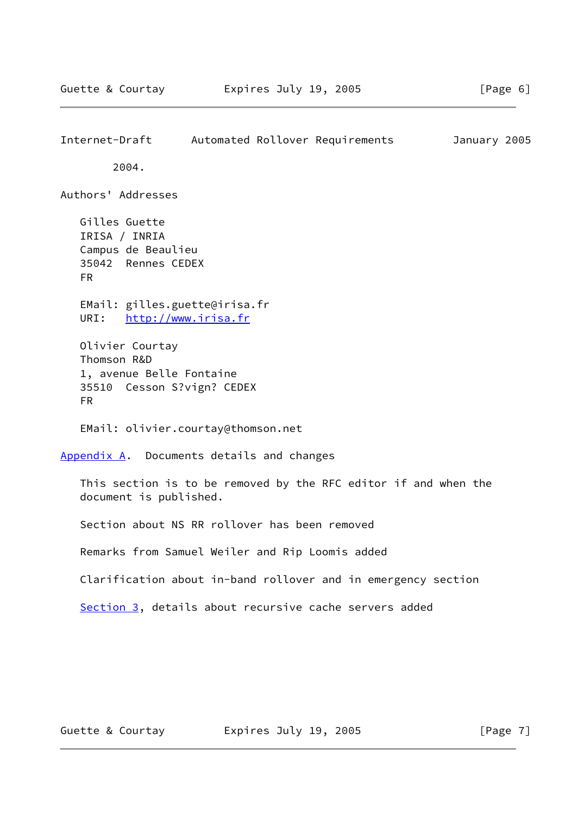<span id="page-6-0"></span>Internet-Draft Automated Rollover Requirements January 2005 2004. Authors' Addresses Gilles Guette IRISA / INRIA Campus de Beaulieu 35042 Rennes CEDEX FR EMail: gilles.guette@irisa.fr URI: <http://www.irisa.fr> Olivier Courtay Thomson R&D 1, avenue Belle Fontaine 35510 Cesson S?vign? CEDEX FR EMail: olivier.courtay@thomson.net [Appendix A.](#page-6-1) Documents details and changes This section is to be removed by the RFC editor if and when the document is published. Section about NS RR rollover has been removed Remarks from Samuel Weiler and Rip Loomis added Clarification about in-band rollover and in emergency section [Section 3](#page-3-0), details about recursive cache servers added

<span id="page-6-1"></span>Guette & Courtay **Expires July 19, 2005** [Page 7]